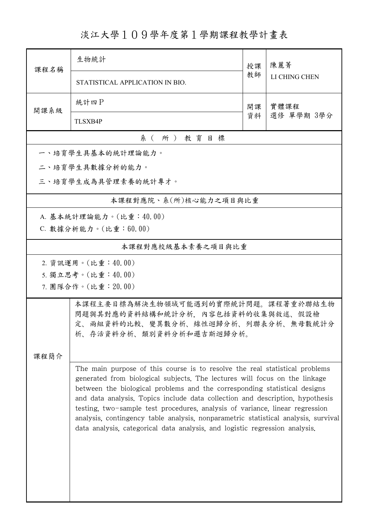## 淡江大學109學年度第1學期課程教學計畫表

| 課程名稱                | 生物統計                                                                                                                                                                                                                                                                                                                                                                                                                                                                                                                                                                         | 授課         | 陳麗菁<br>LI CHING CHEN |  |  |  |  |
|---------------------|------------------------------------------------------------------------------------------------------------------------------------------------------------------------------------------------------------------------------------------------------------------------------------------------------------------------------------------------------------------------------------------------------------------------------------------------------------------------------------------------------------------------------------------------------------------------------|------------|----------------------|--|--|--|--|
|                     | STATISTICAL APPLICATION IN BIO.                                                                                                                                                                                                                                                                                                                                                                                                                                                                                                                                              | 教師         |                      |  |  |  |  |
| 開課系級                | 統計四P                                                                                                                                                                                                                                                                                                                                                                                                                                                                                                                                                                         | 實體課程<br>開課 |                      |  |  |  |  |
|                     | <b>TLSXB4P</b>                                                                                                                                                                                                                                                                                                                                                                                                                                                                                                                                                               | 資料         | 選修 單學期 3學分           |  |  |  |  |
| 系(所)教育目標            |                                                                                                                                                                                                                                                                                                                                                                                                                                                                                                                                                                              |            |                      |  |  |  |  |
|                     | 一、培育學生具基本的統計理論能力。                                                                                                                                                                                                                                                                                                                                                                                                                                                                                                                                                            |            |                      |  |  |  |  |
|                     | 二、培育學生具數據分析的能力。                                                                                                                                                                                                                                                                                                                                                                                                                                                                                                                                                              |            |                      |  |  |  |  |
| 三、培育學生成為具管理素養的統計專才。 |                                                                                                                                                                                                                                                                                                                                                                                                                                                                                                                                                                              |            |                      |  |  |  |  |
|                     | 本課程對應院、系(所)核心能力之項目與比重                                                                                                                                                                                                                                                                                                                                                                                                                                                                                                                                                        |            |                      |  |  |  |  |
|                     | A. 基本統計理論能力。(比重:40.00)                                                                                                                                                                                                                                                                                                                                                                                                                                                                                                                                                       |            |                      |  |  |  |  |
|                     | C. 數據分析能力。(比重:60.00)                                                                                                                                                                                                                                                                                                                                                                                                                                                                                                                                                         |            |                      |  |  |  |  |
| 本課程對應校級基本素養之項目與比重   |                                                                                                                                                                                                                                                                                                                                                                                                                                                                                                                                                                              |            |                      |  |  |  |  |
|                     | 2. 資訊運用。(比重:40.00)                                                                                                                                                                                                                                                                                                                                                                                                                                                                                                                                                           |            |                      |  |  |  |  |
|                     | 5. 獨立思考。(比重:40.00)                                                                                                                                                                                                                                                                                                                                                                                                                                                                                                                                                           |            |                      |  |  |  |  |
|                     | 7. 團隊合作。(比重:20.00)                                                                                                                                                                                                                                                                                                                                                                                                                                                                                                                                                           |            |                      |  |  |  |  |
| 课程简介                | 本課程主要目標為解決生物領域可能遇到的實際統計問題。課程著重於聯結生物<br>問題與其對應的資料結構和統計分析,內容包括資料的收集與敘述、假設檢<br>定、兩組資料的比較、變異數分析、線性迴歸分析、列聯表分析、無母數統計分<br>析、存活資料分析、類別資料分析和邏吉斯迴歸分析。                                                                                                                                                                                                                                                                                                                                                                                                                                  |            |                      |  |  |  |  |
|                     | The main purpose of this course is to resolve the real statistical problems<br>generated from biological subjects. The lectures will focus on the linkage<br>between the biological problems and the corresponding statistical designs<br>and data analysis. Topics include data collection and description, hypothesis<br>testing, two-sample test procedures, analysis of variance, linear regression<br>analysis, contingency table analysis, nonparametric statistical analysis, survival<br>data analysis, categorical data analysis, and logistic regression analysis. |            |                      |  |  |  |  |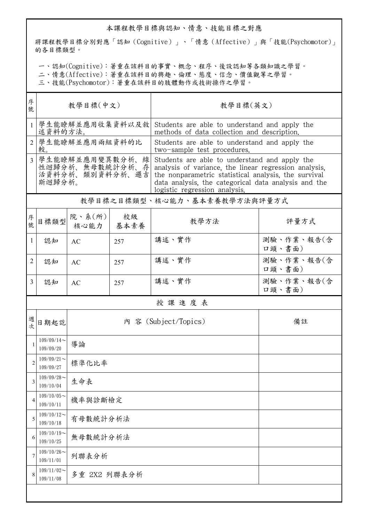## 本課程教學目標與認知、情意、技能目標之對應

將課程教學目標分別對應「認知(Cognitive)」、「情意(Affective)」與「技能(Psychomotor)」 的各目標類型。

一、認知(Cognitive):著重在該科目的事實、概念、程序、後設認知等各類知識之學習。

二、情意(Affective):著重在該科目的興趣、倫理、態度、信念、價值觀等之學習。

三、技能(Psychomotor):著重在該科目的肢體動作或技術操作之學習。

| 序<br>號         | 教學目標(中文)                                                        |                          |            | 教學目標(英文)                                                                                                                                                                                                                                                |                      |  |  |  |
|----------------|-----------------------------------------------------------------|--------------------------|------------|---------------------------------------------------------------------------------------------------------------------------------------------------------------------------------------------------------------------------------------------------------|----------------------|--|--|--|
| 1              | 學生能瞭解並應用收集資料以及敘<br>述資料的方法。                                      |                          |            | Students are able to understand and apply the<br>methods of data collection and description.                                                                                                                                                            |                      |  |  |  |
| $\overline{2}$ | 學生能瞭解並應用兩組資料的比<br>較。                                            |                          |            | Students are able to understand and apply the<br>two-sample test procedures.                                                                                                                                                                            |                      |  |  |  |
| 3              | 學生能瞭解並應用變異數分析、線<br>性迴歸分析、無母數統計分析、存<br>活資料分析、類別資料分析、邏吉<br>斯迴歸分析。 |                          |            | Students are able to understand and apply the<br>analysis of variance, the linear regression analysis,<br>the nonparametric statistical analysis, the survival<br>data analysis, the categorical data analysis and the<br>logistic regression analysis. |                      |  |  |  |
|                | 教學目標之目標類型、核心能力、基本素養教學方法與評量方式                                    |                          |            |                                                                                                                                                                                                                                                         |                      |  |  |  |
| 序號             | 目標類型                                                            | 院、系 $(\text{m})$<br>核心能力 | 校級<br>基本素養 | 教學方法                                                                                                                                                                                                                                                    | 評量方式                 |  |  |  |
| 1              | 認知                                                              | <b>AC</b>                | 257        | 講述、實作                                                                                                                                                                                                                                                   | 測驗、作業、報告(含<br>口頭、書面) |  |  |  |
| 2              | 認知                                                              | <b>AC</b>                | 257        | 講述、實作                                                                                                                                                                                                                                                   | 測驗、作業、報告(含<br>口頭、書面) |  |  |  |
| 3              | 認知                                                              | AC                       | 257        | 講述、實作                                                                                                                                                                                                                                                   | 測驗、作業、報告(含<br>口頭、書面) |  |  |  |
|                | 授課進度表                                                           |                          |            |                                                                                                                                                                                                                                                         |                      |  |  |  |
| 週<br>次         | 日期起訖                                                            |                          |            | 內 容 (Subject/Topics)                                                                                                                                                                                                                                    | 備註                   |  |  |  |
| 1              | $109/09/14$ ~<br>109/09/20                                      | 導論                       |            |                                                                                                                                                                                                                                                         |                      |  |  |  |
| $\overline{c}$ | $109/09/21$ ~<br>109/09/27                                      | 標準化比率                    |            |                                                                                                                                                                                                                                                         |                      |  |  |  |
| 3              | $109/09/28$ ~<br>109/10/04                                      | 生命表                      |            |                                                                                                                                                                                                                                                         |                      |  |  |  |
| 4              | $109/10/05$ ~<br>109/10/11                                      | 機率與診斷檢定                  |            |                                                                                                                                                                                                                                                         |                      |  |  |  |
| 5              | $109/10/12$ ~<br>109/10/18                                      | 有母數統計分析法                 |            |                                                                                                                                                                                                                                                         |                      |  |  |  |
| 6              | $109/10/19$ ~<br>109/10/25                                      | 無母數統計分析法                 |            |                                                                                                                                                                                                                                                         |                      |  |  |  |
| 7              | $109/10/26$ ~<br>109/11/01                                      | 列聯表分析                    |            |                                                                                                                                                                                                                                                         |                      |  |  |  |
| 8              | $109/11/02$ ~<br>109/11/08                                      | 多重 2X2 列聯表分析             |            |                                                                                                                                                                                                                                                         |                      |  |  |  |
|                |                                                                 |                          |            |                                                                                                                                                                                                                                                         |                      |  |  |  |